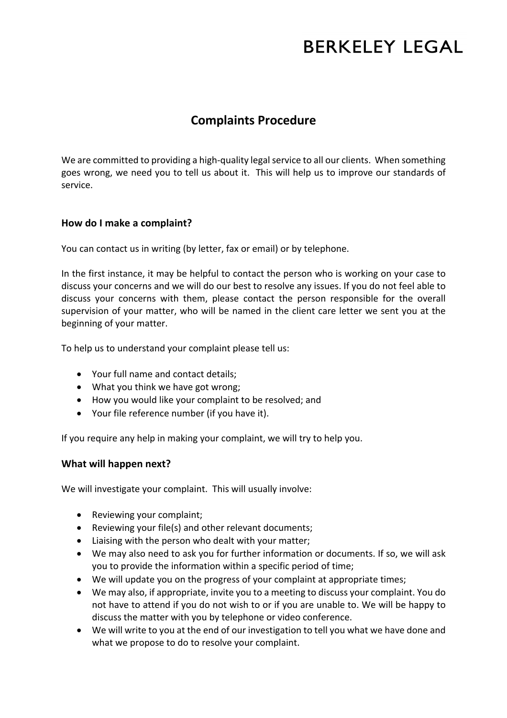# **BERKELEY LEGAL**

## **Complaints Procedure**

We are committed to providing a high-quality legal service to all our clients. When something goes wrong, we need you to tell us about it. This will help us to improve our standards of service.

### **How do I make a complaint?**

You can contact us in writing (by letter, fax or email) or by telephone.

In the first instance, it may be helpful to contact the person who is working on your case to discuss your concerns and we will do our best to resolve any issues. If you do not feel able to discuss your concerns with them, please contact the person responsible for the overall supervision of your matter, who will be named in the client care letter we sent you at the beginning of your matter.

To help us to understand your complaint please tell us:

- Your full name and contact details;
- What you think we have got wrong;
- How you would like your complaint to be resolved; and
- Your file reference number (if you have it).

If you require any help in making your complaint, we will try to help you.

#### **What will happen next?**

We will investigate your complaint. This will usually involve:

- Reviewing your complaint;
- Reviewing your file(s) and other relevant documents;
- Liaising with the person who dealt with your matter;
- We may also need to ask you for further information or documents. If so, we will ask you to provide the information within a specific period of time;
- We will update you on the progress of your complaint at appropriate times;
- We may also, if appropriate, invite you to a meeting to discuss your complaint. You do not have to attend if you do not wish to or if you are unable to. We will be happy to discuss the matter with you by telephone or video conference.
- We will write to you at the end of our investigation to tell you what we have done and what we propose to do to resolve your complaint.